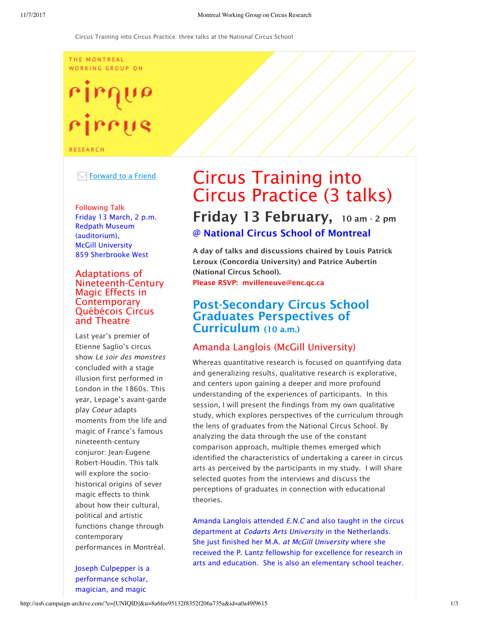#### THE MONTREAL WORKING GROUP ON

# rirrus

**RESEARCH** 

#### $\boxdot$  Forward to a Friend

Following Talk Friday 13 March, 2 p.m. Redpath Museum (auditorium), McGill University 859 Sherbrooke West

#### Adaptations of Nineteenth-Century Magic Effects in **Contemporary** Québécois Circus and Theatre

Last year's premier of Etienne Saglio's circus show *Le soir des monstres* concluded with a stage illusion first performed in London in the 1860s. This year, Lepage's avant-garde play *Coeur* adapts moments from the life and magic of France's famous nineteenth-century conjuror: Jean-Eugene Robert-Houdin. This talk will explore the sociohistorical origins of sever magic effects to think about how their cultural, political and artistic functions change through contemporary performances in Montréal.

Joseph Culpepper is a performance scholar, magician, and magic

# Circus Training into Circus Practice (3 talks) Friday 13 February, 10 am - 2 pm @ National Circus School of Montreal

A day of talks and discussions chaired by Louis Patrick Leroux (Concordia University) and Patrice Aubertin (National Circus School). Please RSVP: mvilleneuve@enc.qc.ca

# Post-Secondary Circus School Graduates Perspectives of Curriculum (10 a.m.)

# Amanda Langlois (McGill University)

Whereas quantitative research is focused on quantifying data and generalizing results, qualitative research is explorative, and centers upon gaining a deeper and more profound understanding of the experiences of participants. In this session, I will present the findings from my own qualitative study, which explores perspectives of the curriculum through the lens of graduates from the National Circus School. By analyzing the data through the use of the constant comparison approach, multiple themes emerged which identified the characteristics of undertaking a career in circus arts as perceived by the participants in my study. I will share selected quotes from the interviews and discuss the perceptions of graduates in connection with educational theories.

Amanda Langlois attended *E.N.C* and also taught in the circus department at *Codarts Arts University* in the Netherlands. She just finished her M.A. *at McGill University* where she received the P. Lantz fellowship for excellence for research in arts and education. She is also an elementary school teacher.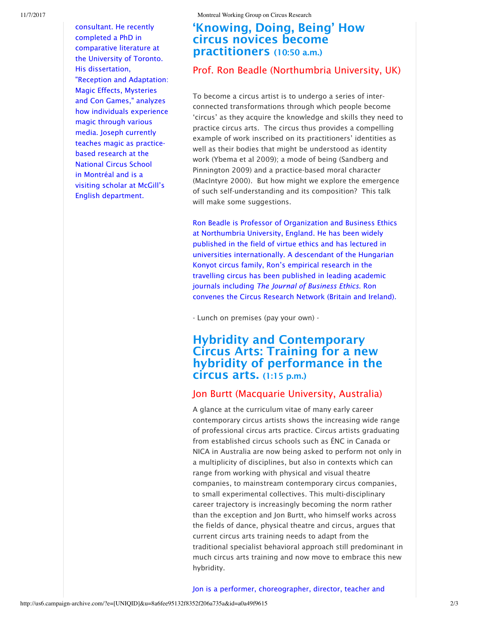consultant. He recently completed a PhD in comparative literature at the University of Toronto. His dissertation, "Reception and Adaptation: Magic Effects, Mysteries and Con Games," analyzes how individuals experience magic through various media. Joseph currently teaches magic as practicebased research at the National Circus School in Montréal and is a visiting scholar at McGill's English department.

### 'Knowing, Doing, Being' How circus novices become practitioners (10:50 a.m.)

#### Prof. Ron Beadle (Northumbria University, UK)

To become a circus artist is to undergo a series of interconnected transformations through which people become 'circus' as they acquire the knowledge and skills they need to practice circus arts. The circus thus provides a compelling example of work inscribed on its practitioners' identities as well as their bodies that might be understood as identity work (Ybema et al 2009); a mode of being (Sandberg and Pinnington 2009) and a practice-based moral character (MacIntyre 2000). But how might we explore the emergence of such self-understanding and its composition? This talk will make some suggestions.

Ron Beadle is Professor of Organization and Business Ethics at Northumbria University, England. He has been widely published in the field of virtue ethics and has lectured in universities internationally. A descendant of the Hungarian Konyot circus family, Ron's empirical research in the travelling circus has been published in leading academic journals including *The Journal of Business Ethics*. Ron convenes the Circus Research Network (Britain and Ireland).

- Lunch on premises (pay your own) -

# Hybridity and Contemporary Circus Arts: Training for a new hybridity of performance in the circus arts. (1:15 p.m.)

#### Jon Burtt (Macquarie University, Australia)

A glance at the curriculum vitae of many early career contemporary circus artists shows the increasing wide range of professional circus arts practice. Circus artists graduating from established circus schools such as ÉNC in Canada or NICA in Australia are now being asked to perform not only in a multiplicity of disciplines, but also in contexts which can range from working with physical and visual theatre companies, to mainstream contemporary circus companies, to small experimental collectives. This multi-disciplinary career trajectory is increasingly becoming the norm rather than the exception and Jon Burtt, who himself works across the fields of dance, physical theatre and circus, argues that current circus arts training needs to adapt from the traditional specialist behavioral approach still predominant in much circus arts training and now move to embrace this new hybridity.

Jon is a performer, choreographer, director, teacher and